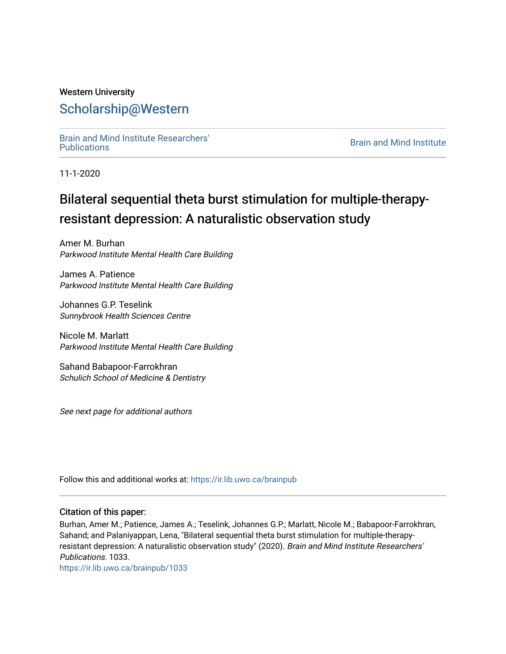## Western University [Scholarship@Western](https://ir.lib.uwo.ca/)

[Brain and Mind Institute Researchers'](https://ir.lib.uwo.ca/brainpub) 

**Brain and Mind Institute** 

11-1-2020

# Bilateral sequential theta burst stimulation for multiple-therapyresistant depression: A naturalistic observation study

Amer M. Burhan Parkwood Institute Mental Health Care Building

James A. Patience Parkwood Institute Mental Health Care Building

Johannes G.P. Teselink Sunnybrook Health Sciences Centre

Nicole M. Marlatt Parkwood Institute Mental Health Care Building

Sahand Babapoor-Farrokhran Schulich School of Medicine & Dentistry

See next page for additional authors

Follow this and additional works at: [https://ir.lib.uwo.ca/brainpub](https://ir.lib.uwo.ca/brainpub?utm_source=ir.lib.uwo.ca%2Fbrainpub%2F1033&utm_medium=PDF&utm_campaign=PDFCoverPages)

#### Citation of this paper:

Burhan, Amer M.; Patience, James A.; Teselink, Johannes G.P.; Marlatt, Nicole M.; Babapoor-Farrokhran, Sahand; and Palaniyappan, Lena, "Bilateral sequential theta burst stimulation for multiple-therapyresistant depression: A naturalistic observation study" (2020). Brain and Mind Institute Researchers' Publications. 1033.

[https://ir.lib.uwo.ca/brainpub/1033](https://ir.lib.uwo.ca/brainpub/1033?utm_source=ir.lib.uwo.ca%2Fbrainpub%2F1033&utm_medium=PDF&utm_campaign=PDFCoverPages)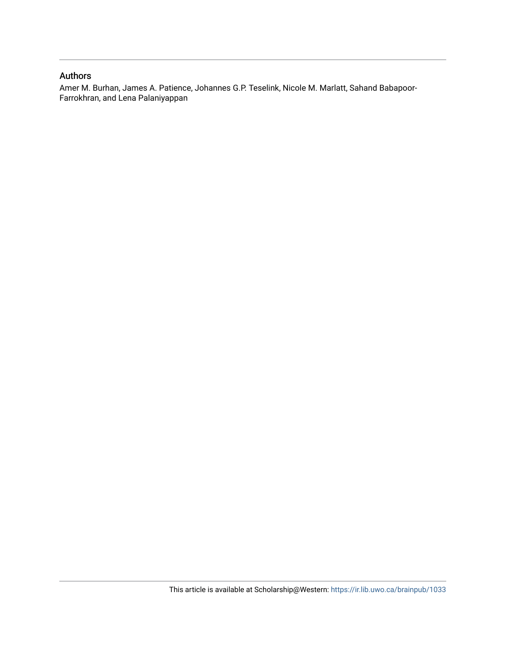#### Authors

Amer M. Burhan, James A. Patience, Johannes G.P. Teselink, Nicole M. Marlatt, Sahand Babapoor-Farrokhran, and Lena Palaniyappan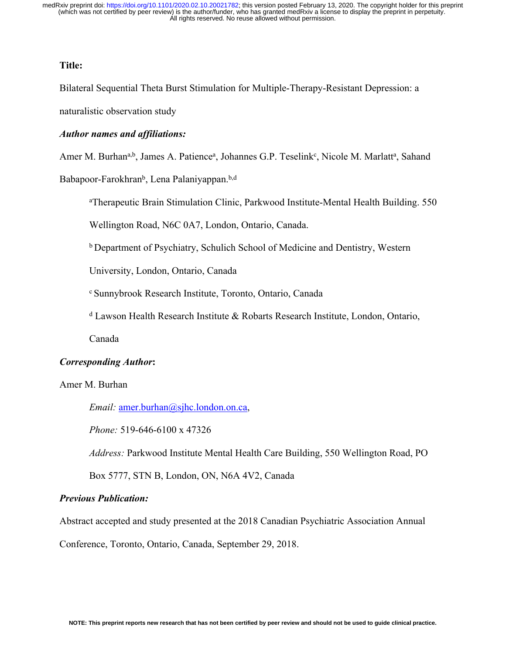#### **Title:**

Bilateral Sequential Theta Burst Stimulation for Multiple-Therapy-Resistant Depression: a

naturalistic observation study

#### *Author names and affiliations:*

Amer M. Burhan<sup>a,b</sup>, James A. Patience<sup>a</sup>, Johannes G.P. Teselink<sup>c</sup>, Nicole M. Marlatt<sup>a</sup>, Sahand

Babapoor-Farokhran<sup>b</sup>, Lena Palaniyappan.<sup>b,d</sup>

a Therapeutic Brain Stimulation Clinic, Parkwood Institute-Mental Health Building. 550

Wellington Road, N6C 0A7, London, Ontario, Canada.

b Department of Psychiatry, Schulich School of Medicine and Dentistry, Western

University, London, Ontario, Canada

c Sunnybrook Research Institute, Toronto, Ontario, Canada

d Lawson Health Research Institute & Robarts Research Institute, London, Ontario,

Canada

#### *Corresponding Author***:**

Amer M. Burhan

*Email:* [amer.burhan@sjhc.london.on.ca](mailto:amer.burhan@sjhc.london.on.ca),

*Phone:* 519-646-6100 x 47326

*Address:* Parkwood Institute Mental Health Care Building, 550 Wellington Road, PO

Box 5777, STN B, London, ON, N6A 4V2, Canada

#### *Previous Publication:*

Abstract accepted and study presented at the 2018 Canadian Psychiatric Association Annual

Conference, Toronto, Ontario, Canada, September 29, 2018.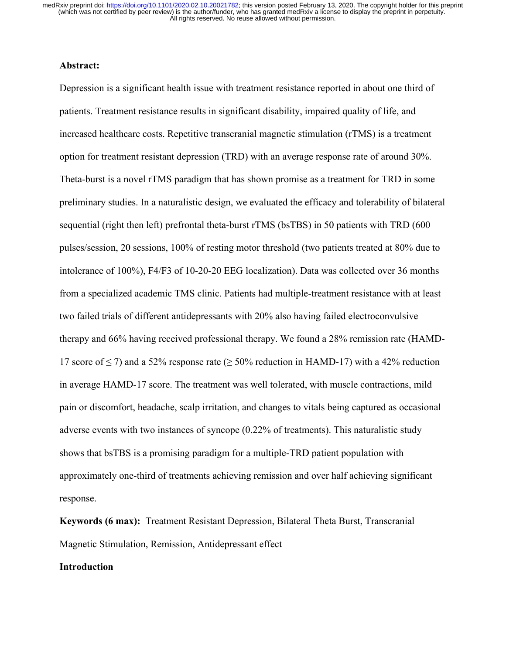#### **Abstract:**

Depression is a significant health issue with treatment resistance reported in about one third of patients. Treatment resistance results in significant disability, impaired quality of life, and increased healthcare costs. Repetitive transcranial magnetic stimulation (rTMS) is a treatment option for treatment resistant depression (TRD) with an average response rate of around 30%. Theta-burst is a novel rTMS paradigm that has shown promise as a treatment for TRD in some preliminary studies. In a naturalistic design, we evaluated the efficacy and tolerability of bilateral sequential (right then left) prefrontal theta-burst rTMS (bsTBS) in 50 patients with TRD (600 pulses/session, 20 sessions, 100% of resting motor threshold (two patients treated at 80% due to intolerance of 100%), F4/F3 of 10-20-20 EEG localization). Data was collected over 36 months from a specialized academic TMS clinic. Patients had multiple-treatment resistance with at least two failed trials of different antidepressants with 20% also having failed electroconvulsive therapy and 66% having received professional therapy. We found a 28% remission rate (HAMD-17 score of  $\leq$  7) and a 52% response rate ( $\geq$  50% reduction in HAMD-17) with a 42% reduction in average HAMD-17 score. The treatment was well tolerated, with muscle contractions, mild pain or discomfort, headache, scalp irritation, and changes to vitals being captured as occasional adverse events with two instances of syncope (0.22% of treatments). This naturalistic study shows that bsTBS is a promising paradigm for a multiple-TRD patient population with approximately one-third of treatments achieving remission and over half achieving significant response.

**Keywords (6 max):** Treatment Resistant Depression, Bilateral Theta Burst, Transcranial Magnetic Stimulation, Remission, Antidepressant effect

#### **Introduction**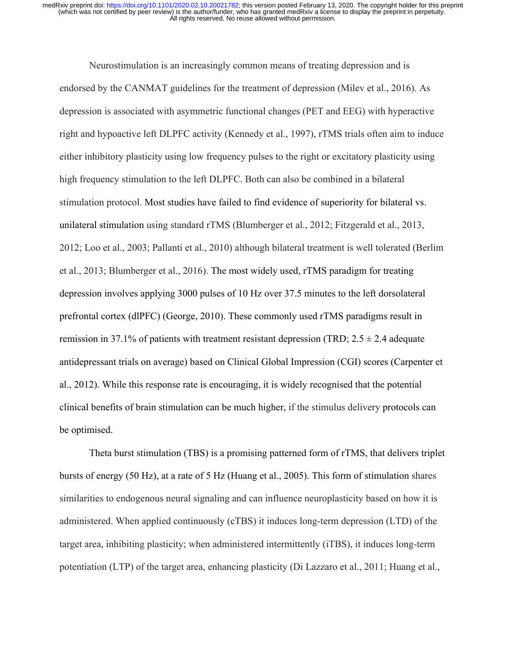Neurostimulation is an increasingly common means of treating depression and is endorsed by the CANMAT guidelines for the treatment of depression (Milev et al., 2016). As depression is associated with asymmetric functional changes (PET and EEG) with hyperactive right and hypoactive left DLPFC activity (Kennedy et al., 1997), rTMS trials often aim to induce either inhibitory plasticity using low frequency pulses to the right or excitatory plasticity using high frequency stimulation to the left DLPFC. Both can also be combined in a bilateral stimulation protocol. Most studies have failed to find evidence of superiority for bilateral vs. unilateral stimulation using standard rTMS (Blumberger et al., 2012; Fitzgerald et al., 2013, 2012; Loo et al., 2003; Pallanti et al., 2010) although bilateral treatment is well tolerated (Berlim et al., 2013; Blumberger et al., 2016). The most widely used, rTMS paradigm for treating depression involves applying 3000 pulses of 10 Hz over 37.5 minutes to the left dorsolateral prefrontal cortex (dlPFC) (George, 2010). These commonly used rTMS paradigms result in remission in 37.1% of patients with treatment resistant depression (TRD;  $2.5 \pm 2.4$  adequate antidepressant trials on average) based on Clinical Global Impression (CGI) scores (Carpenter et al., 2012). While this response rate is encouraging, it is widely recognised that the potential clinical benefits of brain stimulation can be much higher, if the stimulus delivery protocols can be optimised.

Theta burst stimulation (TBS) is a promising patterned form of rTMS, that delivers triplet bursts of energy (50 Hz), at a rate of 5 Hz (Huang et al., 2005). This form of stimulation shares similarities to endogenous neural signaling and can influence neuroplasticity based on how it is administered. When applied continuously (cTBS) it induces long-term depression (LTD) of the target area, inhibiting plasticity; when administered intermittently (iTBS), it induces long-term potentiation (LTP) of the target area, enhancing plasticity (Di Lazzaro et al., 2011; Huang et al.,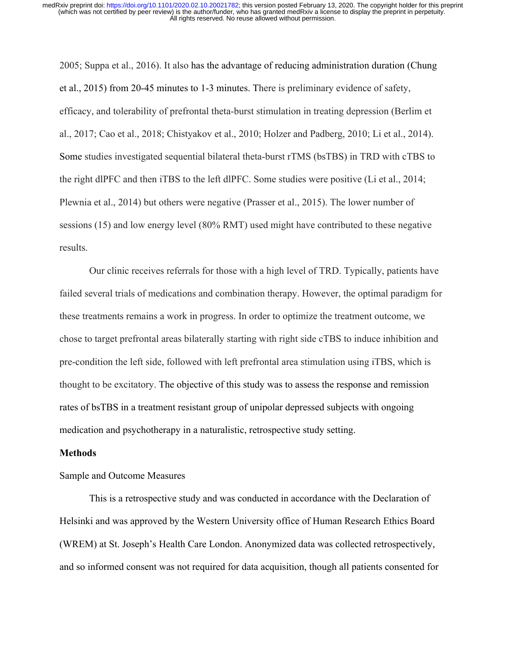2005; Suppa et al., 2016). It also has the advantage of reducing administration duration (Chung et al., 2015) from 20-45 minutes to 1-3 minutes. There is preliminary evidence of safety, efficacy, and tolerability of prefrontal theta-burst stimulation in treating depression (Berlim et al., 2017; Cao et al., 2018; Chistyakov et al., 2010; Holzer and Padberg, 2010; Li et al., 2014). Some studies investigated sequential bilateral theta-burst rTMS (bsTBS) in TRD with cTBS to the right dlPFC and then iTBS to the left dlPFC. Some studies were positive (Li et al., 2014; Plewnia et al., 2014) but others were negative (Prasser et al., 2015). The lower number of sessions (15) and low energy level (80% RMT) used might have contributed to these negative results.

Our clinic receives referrals for those with a high level of TRD. Typically, patients have failed several trials of medications and combination therapy. However, the optimal paradigm for these treatments remains a work in progress. In order to optimize the treatment outcome, we chose to target prefrontal areas bilaterally starting with right side cTBS to induce inhibition and pre-condition the left side, followed with left prefrontal area stimulation using iTBS, which is thought to be excitatory. The objective of this study was to assess the response and remission rates of bsTBS in a treatment resistant group of unipolar depressed subjects with ongoing medication and psychotherapy in a naturalistic, retrospective study setting.

#### **Methods**

#### Sample and Outcome Measures

This is a retrospective study and was conducted in accordance with the Declaration of Helsinki and was approved by the Western University office of Human Research Ethics Board (WREM) at St. Joseph's Health Care London. Anonymized data was collected retrospectively, and so informed consent was not required for data acquisition, though all patients consented for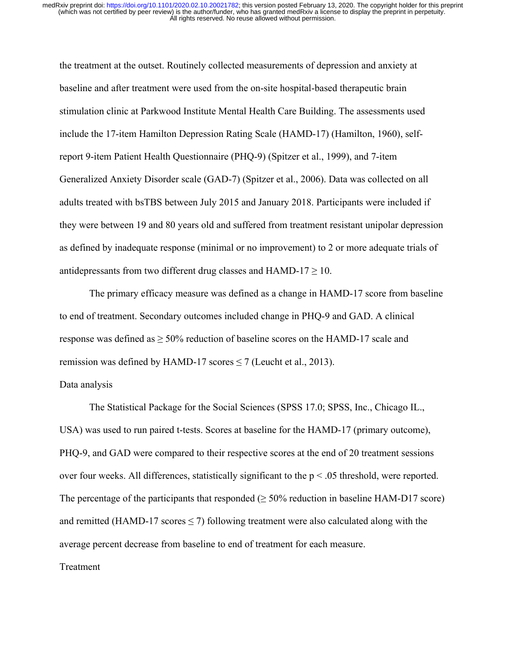the treatment at the outset. Routinely collected measurements of depression and anxiety at baseline and after treatment were used from the on-site hospital-based therapeutic brain stimulation clinic at Parkwood Institute Mental Health Care Building. The assessments used include the 17-item Hamilton Depression Rating Scale (HAMD-17) (Hamilton, 1960), selfreport 9-item Patient Health Questionnaire (PHQ-9) (Spitzer et al., 1999), and 7-item Generalized Anxiety Disorder scale (GAD-7) (Spitzer et al., 2006). Data was collected on all adults treated with bsTBS between July 2015 and January 2018. Participants were included if they were between 19 and 80 years old and suffered from treatment resistant unipolar depression as defined by inadequate response (minimal or no improvement) to 2 or more adequate trials of antidepressants from two different drug classes and  $HAMD-17 \geq 10$ .

The primary efficacy measure was defined as a change in HAMD-17 score from baseline to end of treatment. Secondary outcomes included change in PHQ-9 and GAD. A clinical response was defined as  $\geq$  50% reduction of baseline scores on the HAMD-17 scale and remission was defined by HAMD-17 scores  $\leq$  7 (Leucht et al., 2013).

#### Data analysis

The Statistical Package for the Social Sciences (SPSS 17.0; SPSS, Inc., Chicago IL., USA) was used to run paired t-tests. Scores at baseline for the HAMD-17 (primary outcome), PHQ-9, and GAD were compared to their respective scores at the end of 20 treatment sessions over four weeks. All differences, statistically significant to the  $p < .05$  threshold, were reported. The percentage of the participants that responded  $(\geq 50\%$  reduction in baseline HAM-D17 score) and remitted (HAMD-17 scores  $\leq$  7) following treatment were also calculated along with the average percent decrease from baseline to end of treatment for each measure.

#### Treatment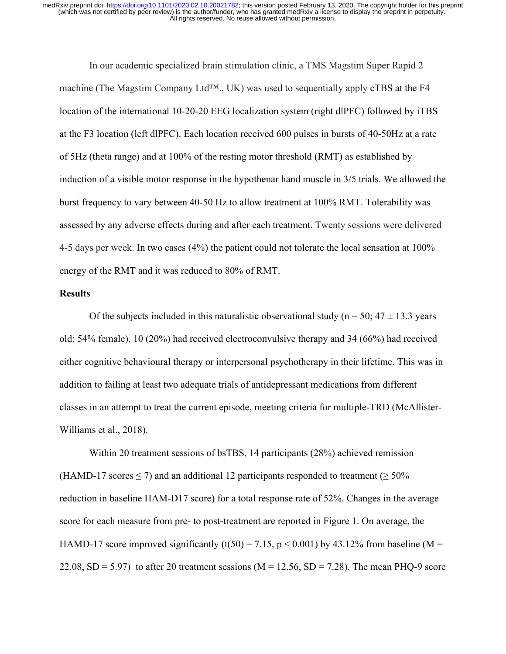In our academic specialized brain stimulation clinic, a TMS Magstim Super Rapid 2 machine (The Magstim Company Ltd™., UK) was used to sequentially apply cTBS at the F4 location of the international 10-20-20 EEG localization system (right dlPFC) followed by iTBS at the F3 location (left dlPFC). Each location received 600 pulses in bursts of 40-50Hz at a rate of 5Hz (theta range) and at 100% of the resting motor threshold (RMT) as established by induction of a visible motor response in the hypothenar hand muscle in 3/5 trials. We allowed the burst frequency to vary between 40-50 Hz to allow treatment at 100% RMT. Tolerability was assessed by any adverse effects during and after each treatment. Twenty sessions were delivered 4-5 days per week. In two cases (4%) the patient could not tolerate the local sensation at 100% energy of the RMT and it was reduced to 80% of RMT.

#### **Results**

Of the subjects included in this naturalistic observational study ( $n = 50$ ; 47  $\pm$  13.3 years old; 54% female), 10 (20%) had received electroconvulsive therapy and 34 (66%) had received either cognitive behavioural therapy or interpersonal psychotherapy in their lifetime. This was in addition to failing at least two adequate trials of antidepressant medications from different classes in an attempt to treat the current episode, meeting criteria for multiple-TRD (McAllister-Williams et al., 2018).

Within 20 treatment sessions of bsTBS, 14 participants (28%) achieved remission (HAMD-17 scores  $\leq$  7) and an additional 12 participants responded to treatment ( $\geq$  50% reduction in baseline HAM-D17 score) for a total response rate of 52%. Changes in the average score for each measure from pre- to post-treatment are reported in Figure 1. On average, the HAMD-17 score improved significantly (t(50) = 7.15, p < 0.001) by 43.12% from baseline (M = 22.08,  $SD = 5.97$ ) to after 20 treatment sessions (M = 12.56,  $SD = 7.28$ ). The mean PHQ-9 score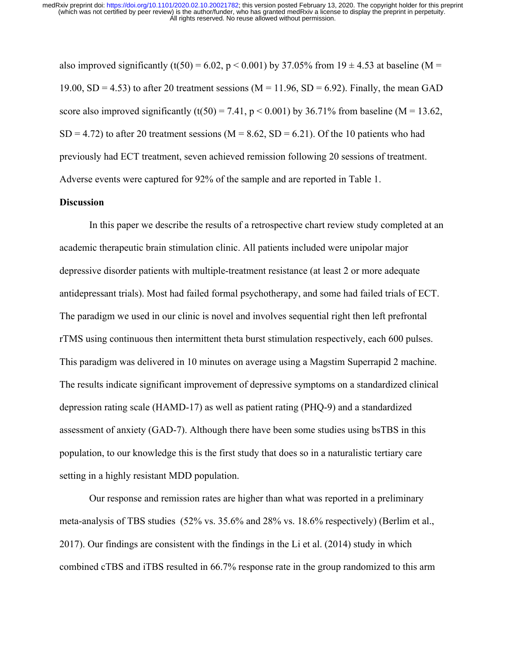also improved significantly (t(50) = 6.02, p < 0.001) by 37.05% from 19  $\pm$  4.53 at baseline (M = 19.00, SD = 4.53) to after 20 treatment sessions ( $M = 11.96$ , SD = 6.92). Finally, the mean GAD score also improved significantly  $(t(50) = 7.41$ ,  $p < 0.001$ ) by 36.71% from baseline (M = 13.62,  $SD = 4.72$ ) to after 20 treatment sessions (M = 8.62, SD = 6.21). Of the 10 patients who had previously had ECT treatment, seven achieved remission following 20 sessions of treatment. Adverse events were captured for 92% of the sample and are reported in Table 1.

#### **Discussion**

In this paper we describe the results of a retrospective chart review study completed at an academic therapeutic brain stimulation clinic. All patients included were unipolar major depressive disorder patients with multiple-treatment resistance (at least 2 or more adequate antidepressant trials). Most had failed formal psychotherapy, and some had failed trials of ECT. The paradigm we used in our clinic is novel and involves sequential right then left prefrontal rTMS using continuous then intermittent theta burst stimulation respectively, each 600 pulses. This paradigm was delivered in 10 minutes on average using a Magstim Superrapid 2 machine. The results indicate significant improvement of depressive symptoms on a standardized clinical depression rating scale (HAMD-17) as well as patient rating (PHQ-9) and a standardized assessment of anxiety (GAD-7). Although there have been some studies using bsTBS in this population, to our knowledge this is the first study that does so in a naturalistic tertiary care setting in a highly resistant MDD population.

Our response and remission rates are higher than what was reported in a preliminary meta-analysis of TBS studies (52% vs. 35.6% and 28% vs. 18.6% respectively) (Berlim et al., 2017). Our findings are consistent with the findings in the Li et al. (2014) study in which combined cTBS and iTBS resulted in 66.7% response rate in the group randomized to this arm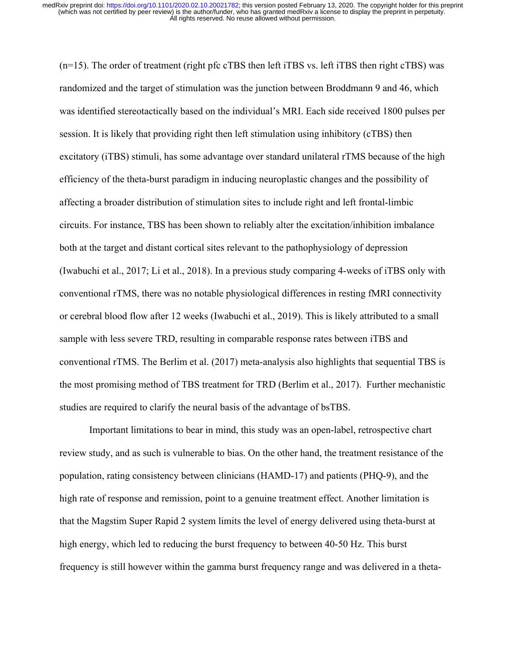(n=15). The order of treatment (right pfc cTBS then left iTBS vs. left iTBS then right cTBS) was randomized and the target of stimulation was the junction between Broddmann 9 and 46, which was identified stereotactically based on the individual's MRI. Each side received 1800 pulses per session. It is likely that providing right then left stimulation using inhibitory (cTBS) then excitatory (iTBS) stimuli, has some advantage over standard unilateral rTMS because of the high efficiency of the theta-burst paradigm in inducing neuroplastic changes and the possibility of affecting a broader distribution of stimulation sites to include right and left frontal-limbic circuits. For instance, TBS has been shown to reliably alter the excitation/inhibition imbalance both at the target and distant cortical sites relevant to the pathophysiology of depression (Iwabuchi et al., 2017; Li et al., 2018). In a previous study comparing 4-weeks of iTBS only with conventional rTMS, there was no notable physiological differences in resting fMRI connectivity or cerebral blood flow after 12 weeks (Iwabuchi et al., 2019). This is likely attributed to a small sample with less severe TRD, resulting in comparable response rates between iTBS and conventional rTMS. The Berlim et al. (2017) meta-analysis also highlights that sequential TBS is the most promising method of TBS treatment for TRD (Berlim et al., 2017). Further mechanistic studies are required to clarify the neural basis of the advantage of bsTBS.

Important limitations to bear in mind, this study was an open-label, retrospective chart review study, and as such is vulnerable to bias. On the other hand, the treatment resistance of the population, rating consistency between clinicians (HAMD-17) and patients (PHQ-9), and the high rate of response and remission, point to a genuine treatment effect. Another limitation is that the Magstim Super Rapid 2 system limits the level of energy delivered using theta-burst at high energy, which led to reducing the burst frequency to between 40-50 Hz. This burst frequency is still however within the gamma burst frequency range and was delivered in a theta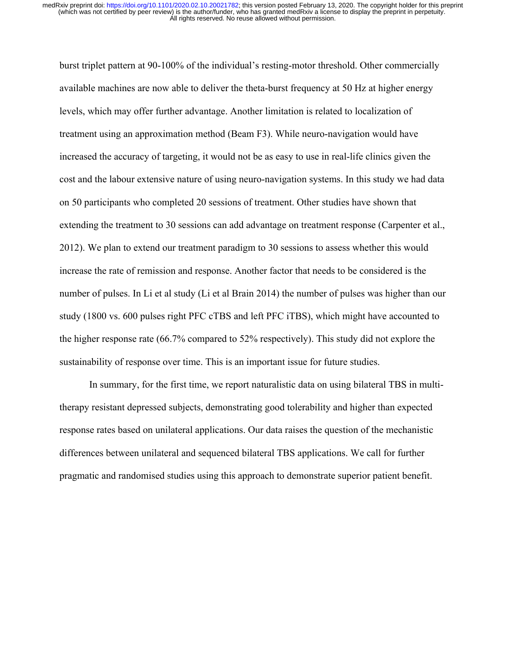burst triplet pattern at 90-100% of the individual's resting-motor threshold. Other commercially available machines are now able to deliver the theta-burst frequency at 50 Hz at higher energy levels, which may offer further advantage. Another limitation is related to localization of treatment using an approximation method (Beam F3). While neuro-navigation would have increased the accuracy of targeting, it would not be as easy to use in real-life clinics given the cost and the labour extensive nature of using neuro-navigation systems. In this study we had data on 50 participants who completed 20 sessions of treatment. Other studies have shown that extending the treatment to 30 sessions can add advantage on treatment response (Carpenter et al., 2012). We plan to extend our treatment paradigm to 30 sessions to assess whether this would increase the rate of remission and response. Another factor that needs to be considered is the number of pulses. In Li et al study (Li et al Brain 2014) the number of pulses was higher than our study (1800 vs. 600 pulses right PFC cTBS and left PFC iTBS), which might have accounted to the higher response rate (66.7% compared to 52% respectively). This study did not explore the sustainability of response over time. This is an important issue for future studies.

In summary, for the first time, we report naturalistic data on using bilateral TBS in multitherapy resistant depressed subjects, demonstrating good tolerability and higher than expected response rates based on unilateral applications. Our data raises the question of the mechanistic differences between unilateral and sequenced bilateral TBS applications. We call for further pragmatic and randomised studies using this approach to demonstrate superior patient benefit.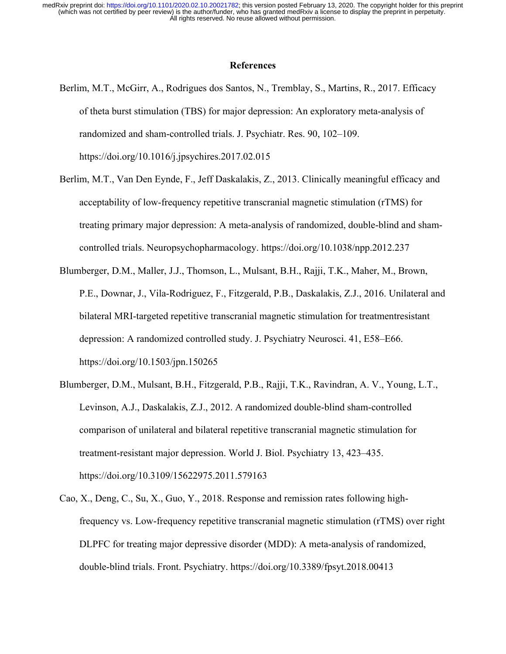#### **References**

- Berlim, M.T., McGirr, A., Rodrigues dos Santos, N., Tremblay, S., Martins, R., 2017. Efficacy of theta burst stimulation (TBS) for major depression: An exploratory meta-analysis of randomized and sham-controlled trials. J. Psychiatr. Res. 90, 102–109. https://doi.org/10.1016/j.jpsychires.2017.02.015
- Berlim, M.T., Van Den Eynde, F., Jeff Daskalakis, Z., 2013. Clinically meaningful efficacy and acceptability of low-frequency repetitive transcranial magnetic stimulation (rTMS) for treating primary major depression: A meta-analysis of randomized, double-blind and shamcontrolled trials. Neuropsychopharmacology. https://doi.org/10.1038/npp.2012.237
- Blumberger, D.M., Maller, J.J., Thomson, L., Mulsant, B.H., Rajji, T.K., Maher, M., Brown, P.E., Downar, J., Vila-Rodriguez, F., Fitzgerald, P.B., Daskalakis, Z.J., 2016. Unilateral and bilateral MRI-targeted repetitive transcranial magnetic stimulation for treatmentresistant depression: A randomized controlled study. J. Psychiatry Neurosci. 41, E58–E66. https://doi.org/10.1503/jpn.150265
- Blumberger, D.M., Mulsant, B.H., Fitzgerald, P.B., Rajji, T.K., Ravindran, A. V., Young, L.T., Levinson, A.J., Daskalakis, Z.J., 2012. A randomized double-blind sham-controlled comparison of unilateral and bilateral repetitive transcranial magnetic stimulation for treatment-resistant major depression. World J. Biol. Psychiatry 13, 423–435. https://doi.org/10.3109/15622975.2011.579163
- Cao, X., Deng, C., Su, X., Guo, Y., 2018. Response and remission rates following highfrequency vs. Low-frequency repetitive transcranial magnetic stimulation (rTMS) over right DLPFC for treating major depressive disorder (MDD): A meta-analysis of randomized, double-blind trials. Front. Psychiatry. https://doi.org/10.3389/fpsyt.2018.00413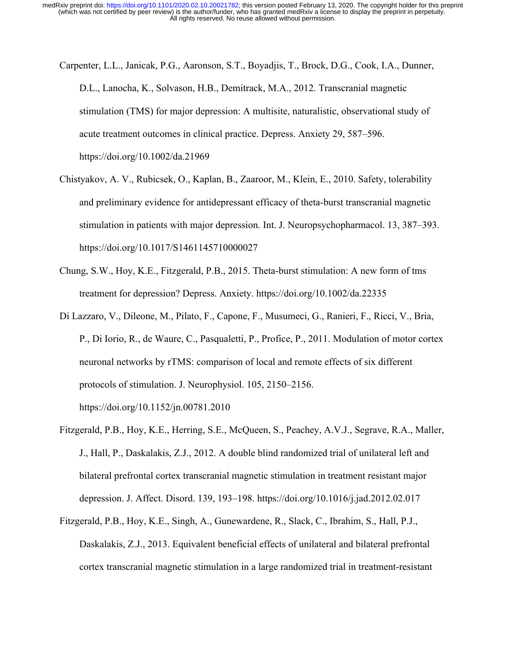- Carpenter, L.L., Janicak, P.G., Aaronson, S.T., Boyadjis, T., Brock, D.G., Cook, I.A., Dunner, D.L., Lanocha, K., Solvason, H.B., Demitrack, M.A., 2012. Transcranial magnetic stimulation (TMS) for major depression: A multisite, naturalistic, observational study of acute treatment outcomes in clinical practice. Depress. Anxiety 29, 587–596. https://doi.org/10.1002/da.21969
- Chistyakov, A. V., Rubicsek, O., Kaplan, B., Zaaroor, M., Klein, E., 2010. Safety, tolerability and preliminary evidence for antidepressant efficacy of theta-burst transcranial magnetic stimulation in patients with major depression. Int. J. Neuropsychopharmacol. 13, 387–393. https://doi.org/10.1017/S1461145710000027
- Chung, S.W., Hoy, K.E., Fitzgerald, P.B., 2015. Theta-burst stimulation: A new form of tms treatment for depression? Depress. Anxiety. https://doi.org/10.1002/da.22335
- Di Lazzaro, V., Dileone, M., Pilato, F., Capone, F., Musumeci, G., Ranieri, F., Ricci, V., Bria, P., Di Iorio, R., de Waure, C., Pasqualetti, P., Profice, P., 2011. Modulation of motor cortex neuronal networks by rTMS: comparison of local and remote effects of six different protocols of stimulation. J. Neurophysiol. 105, 2150–2156. https://doi.org/10.1152/jn.00781.2010
- Fitzgerald, P.B., Hoy, K.E., Herring, S.E., McQueen, S., Peachey, A.V.J., Segrave, R.A., Maller, J., Hall, P., Daskalakis, Z.J., 2012. A double blind randomized trial of unilateral left and bilateral prefrontal cortex transcranial magnetic stimulation in treatment resistant major depression. J. Affect. Disord. 139, 193–198. https://doi.org/10.1016/j.jad.2012.02.017
- Fitzgerald, P.B., Hoy, K.E., Singh, A., Gunewardene, R., Slack, C., Ibrahim, S., Hall, P.J., Daskalakis, Z.J., 2013. Equivalent beneficial effects of unilateral and bilateral prefrontal cortex transcranial magnetic stimulation in a large randomized trial in treatment-resistant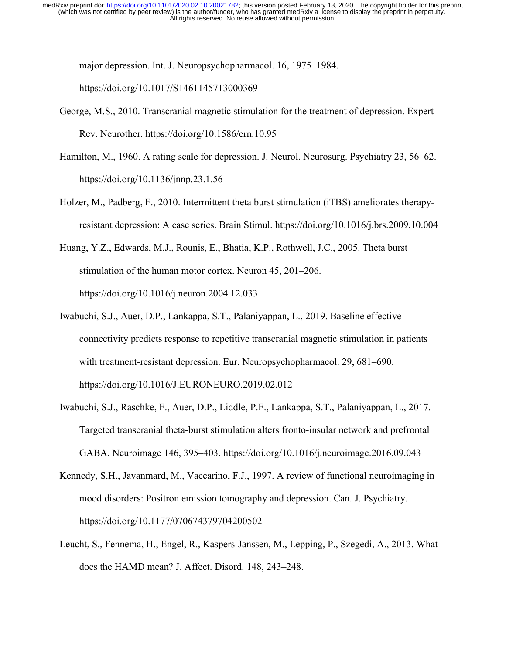major depression. Int. J. Neuropsychopharmacol. 16, 1975–1984.

https://doi.org/10.1017/S1461145713000369

- George, M.S., 2010. Transcranial magnetic stimulation for the treatment of depression. Expert Rev. Neurother. https://doi.org/10.1586/ern.10.95
- Hamilton, M., 1960. A rating scale for depression. J. Neurol. Neurosurg. Psychiatry 23, 56–62. https://doi.org/10.1136/jnnp.23.1.56
- Holzer, M., Padberg, F., 2010. Intermittent theta burst stimulation (iTBS) ameliorates therapyresistant depression: A case series. Brain Stimul. https://doi.org/10.1016/j.brs.2009.10.004
- Huang, Y.Z., Edwards, M.J., Rounis, E., Bhatia, K.P., Rothwell, J.C., 2005. Theta burst stimulation of the human motor cortex. Neuron 45, 201–206. https://doi.org/10.1016/j.neuron.2004.12.033
- Iwabuchi, S.J., Auer, D.P., Lankappa, S.T., Palaniyappan, L., 2019. Baseline effective connectivity predicts response to repetitive transcranial magnetic stimulation in patients with treatment-resistant depression. Eur. Neuropsychopharmacol. 29, 681–690. https://doi.org/10.1016/J.EURONEURO.2019.02.012
- Iwabuchi, S.J., Raschke, F., Auer, D.P., Liddle, P.F., Lankappa, S.T., Palaniyappan, L., 2017. Targeted transcranial theta-burst stimulation alters fronto-insular network and prefrontal GABA. Neuroimage 146, 395–403. https://doi.org/10.1016/j.neuroimage.2016.09.043
- Kennedy, S.H., Javanmard, M., Vaccarino, F.J., 1997. A review of functional neuroimaging in mood disorders: Positron emission tomography and depression. Can. J. Psychiatry. https://doi.org/10.1177/070674379704200502
- Leucht, S., Fennema, H., Engel, R., Kaspers-Janssen, M., Lepping, P., Szegedi, A., 2013. What does the HAMD mean? J. Affect. Disord. 148, 243–248.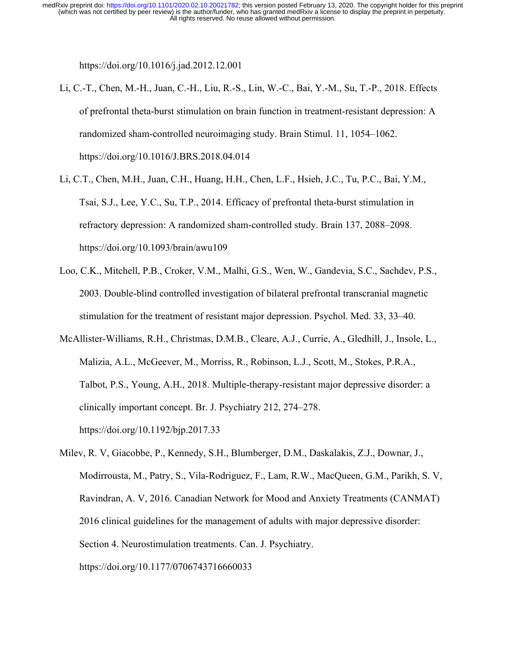https://doi.org/10.1016/j.jad.2012.12.001

- Li, C.-T., Chen, M.-H., Juan, C.-H., Liu, R.-S., Lin, W.-C., Bai, Y.-M., Su, T.-P., 2018. Effects of prefrontal theta-burst stimulation on brain function in treatment-resistant depression: A randomized sham-controlled neuroimaging study. Brain Stimul. 11, 1054–1062. https://doi.org/10.1016/J.BRS.2018.04.014
- Li, C.T., Chen, M.H., Juan, C.H., Huang, H.H., Chen, L.F., Hsieh, J.C., Tu, P.C., Bai, Y.M., Tsai, S.J., Lee, Y.C., Su, T.P., 2014. Efficacy of prefrontal theta-burst stimulation in refractory depression: A randomized sham-controlled study. Brain 137, 2088–2098. https://doi.org/10.1093/brain/awu109
- Loo, C.K., Mitchell, P.B., Croker, V.M., Malhi, G.S., Wen, W., Gandevia, S.C., Sachdev, P.S., 2003. Double-blind controlled investigation of bilateral prefrontal transcranial magnetic stimulation for the treatment of resistant major depression. Psychol. Med. 33, 33–40.
- McAllister-Williams, R.H., Christmas, D.M.B., Cleare, A.J., Currie, A., Gledhill, J., Insole, L., Malizia, A.L., McGeever, M., Morriss, R., Robinson, L.J., Scott, M., Stokes, P.R.A., Talbot, P.S., Young, A.H., 2018. Multiple-therapy-resistant major depressive disorder: a clinically important concept. Br. J. Psychiatry 212, 274–278. https://doi.org/10.1192/bjp.2017.33
- Milev, R. V, Giacobbe, P., Kennedy, S.H., Blumberger, D.M., Daskalakis, Z.J., Downar, J., Modirrousta, M., Patry, S., Vila-Rodriguez, F., Lam, R.W., MacQueen, G.M., Parikh, S. V, Ravindran, A. V, 2016. Canadian Network for Mood and Anxiety Treatments (CANMAT) 2016 clinical guidelines for the management of adults with major depressive disorder: Section 4. Neurostimulation treatments. Can. J. Psychiatry. https://doi.org/10.1177/0706743716660033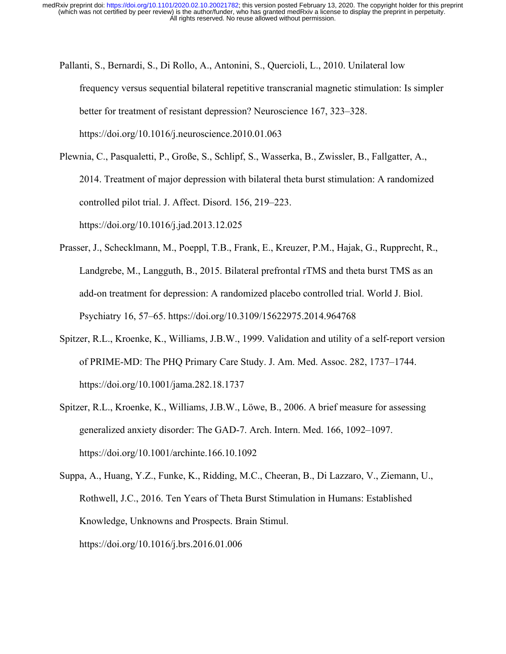- Pallanti, S., Bernardi, S., Di Rollo, A., Antonini, S., Quercioli, L., 2010. Unilateral low frequency versus sequential bilateral repetitive transcranial magnetic stimulation: Is simpler better for treatment of resistant depression? Neuroscience 167, 323–328. https://doi.org/10.1016/j.neuroscience.2010.01.063
- Plewnia, C., Pasqualetti, P., Große, S., Schlipf, S., Wasserka, B., Zwissler, B., Fallgatter, A., 2014. Treatment of major depression with bilateral theta burst stimulation: A randomized controlled pilot trial. J. Affect. Disord. 156, 219–223. https://doi.org/10.1016/j.jad.2013.12.025
- Prasser, J., Schecklmann, M., Poeppl, T.B., Frank, E., Kreuzer, P.M., Hajak, G., Rupprecht, R., Landgrebe, M., Langguth, B., 2015. Bilateral prefrontal rTMS and theta burst TMS as an add-on treatment for depression: A randomized placebo controlled trial. World J. Biol. Psychiatry 16, 57–65. https://doi.org/10.3109/15622975.2014.964768
- Spitzer, R.L., Kroenke, K., Williams, J.B.W., 1999. Validation and utility of a self-report version of PRIME-MD: The PHQ Primary Care Study. J. Am. Med. Assoc. 282, 1737–1744. https://doi.org/10.1001/jama.282.18.1737
- Spitzer, R.L., Kroenke, K., Williams, J.B.W., Löwe, B., 2006. A brief measure for assessing generalized anxiety disorder: The GAD-7. Arch. Intern. Med. 166, 1092–1097. https://doi.org/10.1001/archinte.166.10.1092
- Suppa, A., Huang, Y.Z., Funke, K., Ridding, M.C., Cheeran, B., Di Lazzaro, V., Ziemann, U., Rothwell, J.C., 2016. Ten Years of Theta Burst Stimulation in Humans: Established Knowledge, Unknowns and Prospects. Brain Stimul. https://doi.org/10.1016/j.brs.2016.01.006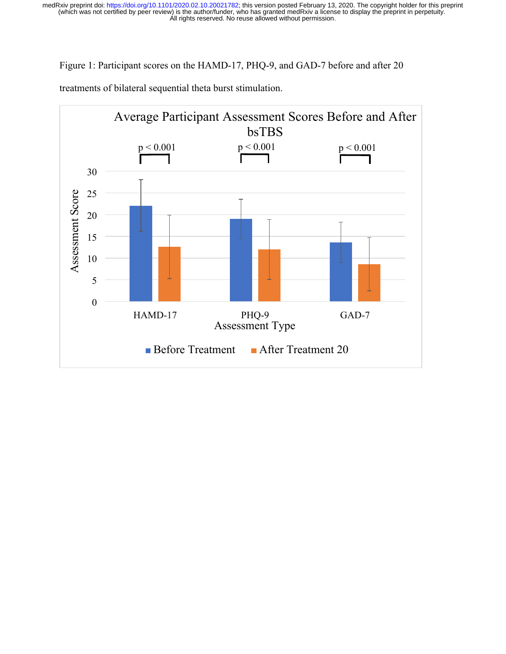Figure 1: Participant scores on the HAMD-17, PHQ-9, and GAD-7 before and after 20



treatments of bilateral sequential theta burst stimulation.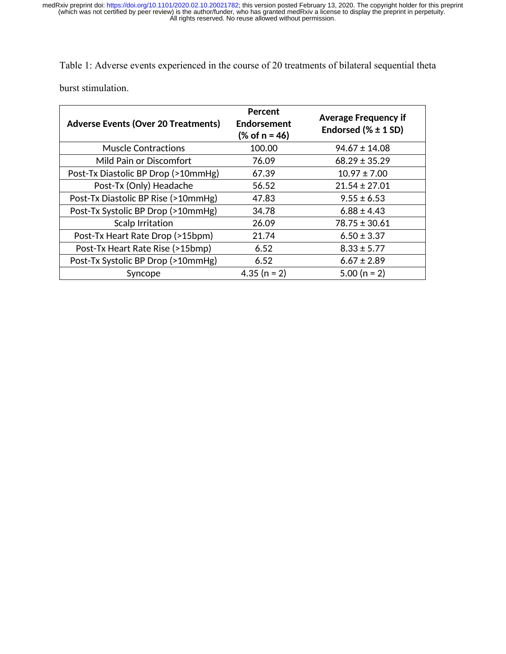Table 1: Adverse events experienced in the course of 20 treatments of bilateral sequential theta burst stimulation.

| <b>Adverse Events (Over 20 Treatments)</b> | Percent<br>Endorsement<br>(% of n = 46) | <b>Average Frequency if</b><br>Endorsed $(%$ $*$ 1 SD) |
|--------------------------------------------|-----------------------------------------|--------------------------------------------------------|
| <b>Muscle Contractions</b>                 | 100.00                                  | $94.67 \pm 14.08$                                      |
| Mild Pain or Discomfort                    | 76.09                                   | $68.29 \pm 35.29$                                      |
| Post-Tx Diastolic BP Drop (>10mmHg)        | 67.39                                   | $10.97 \pm 7.00$                                       |
| Post-Tx (Only) Headache                    | 56.52                                   | $21.54 \pm 27.01$                                      |
| Post-Tx Diastolic BP Rise (>10mmHg)        | 47.83                                   | $9.55 \pm 6.53$                                        |
| Post-Tx Systolic BP Drop (>10mmHg)         | 34.78                                   | $6.88 \pm 4.43$                                        |
| <b>Scalp Irritation</b>                    | 26.09                                   | $78.75 \pm 30.61$                                      |
| Post-Tx Heart Rate Drop (>15bpm)           | 21.74                                   | $6.50 \pm 3.37$                                        |
| Post-Tx Heart Rate Rise (>15bmp)           | 6.52                                    | $8.33 \pm 5.77$                                        |
| Post-Tx Systolic BP Drop (>10mmHg)         | 6.52                                    | $6.67 \pm 2.89$                                        |
| Syncope                                    | 4.35 ( $n = 2$ )                        | $5.00 (n = 2)$                                         |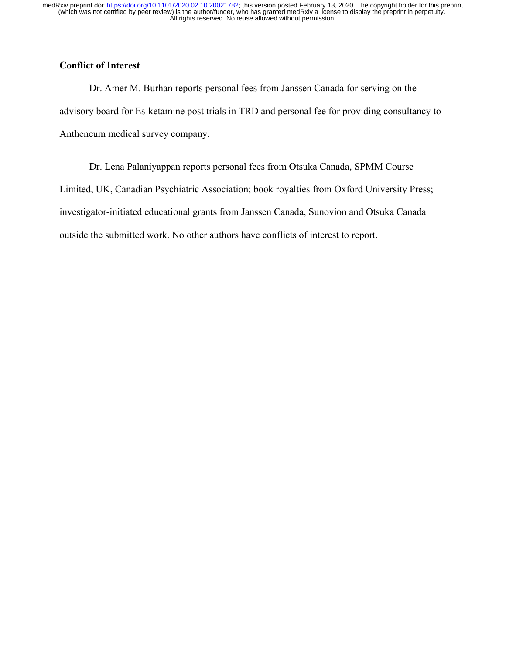## **Conflict of Interest**

Dr. Amer M. Burhan reports personal fees from Janssen Canada for serving on the advisory board for Es-ketamine post trials in TRD and personal fee for providing consultancy to Antheneum medical survey company.

Dr. Lena Palaniyappan reports personal fees from Otsuka Canada, SPMM Course Limited, UK, Canadian Psychiatric Association; book royalties from Oxford University Press; investigator-initiated educational grants from Janssen Canada, Sunovion and Otsuka Canada outside the submitted work. No other authors have conflicts of interest to report.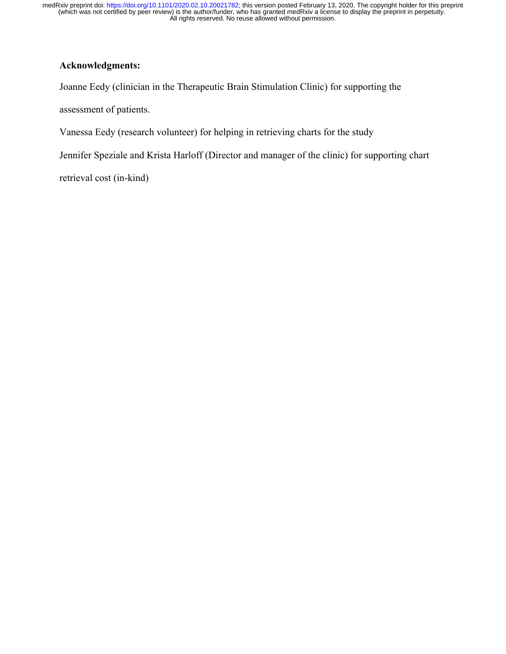## **Acknowledgments:**

Joanne Eedy (clinician in the Therapeutic Brain Stimulation Clinic) for supporting the

assessment of patients.

Vanessa Eedy (research volunteer) for helping in retrieving charts for the study

Jennifer Speziale and Krista Harloff (Director and manager of the clinic) for supporting chart

retrieval cost (in-kind)